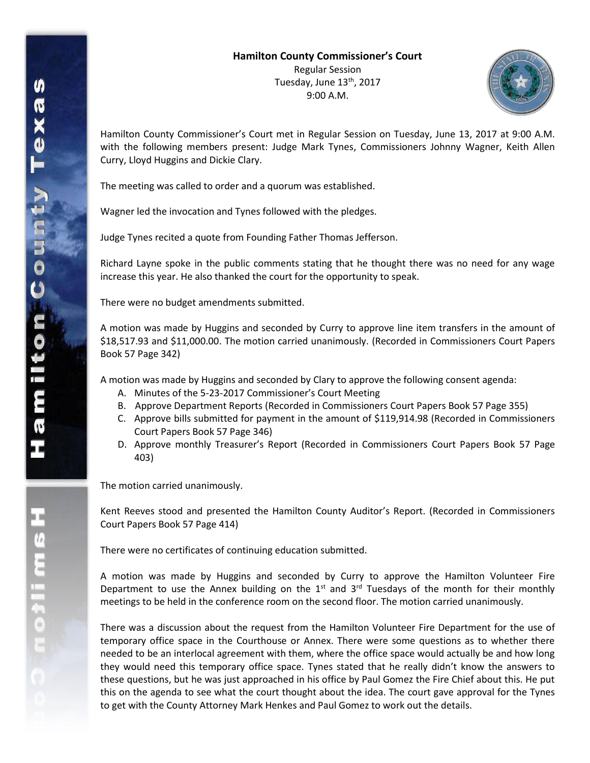

Hamilton County Commissioner's Court met in Regular Session on Tuesday, June 13, 2017 at 9:00 A.M. with the following members present: Judge Mark Tynes, Commissioners Johnny Wagner, Keith Allen Curry, Lloyd Huggins and Dickie Clary.

The meeting was called to order and a quorum was established.

Wagner led the invocation and Tynes followed with the pledges.

Judge Tynes recited a quote from Founding Father Thomas Jefferson.

Richard Layne spoke in the public comments stating that he thought there was no need for any wage increase this year. He also thanked the court for the opportunity to speak.

There were no budget amendments submitted.

A motion was made by Huggins and seconded by Curry to approve line item transfers in the amount of \$18,517.93 and \$11,000.00. The motion carried unanimously. (Recorded in Commissioners Court Papers Book 57 Page 342)

A motion was made by Huggins and seconded by Clary to approve the following consent agenda:

- A. Minutes of the 5-23-2017 Commissioner's Court Meeting
- B. Approve Department Reports (Recorded in Commissioners Court Papers Book 57 Page 355)
- C. Approve bills submitted for payment in the amount of \$119,914.98 (Recorded in Commissioners Court Papers Book 57 Page 346)
- D. Approve monthly Treasurer's Report (Recorded in Commissioners Court Papers Book 57 Page 403)

The motion carried unanimously.

Kent Reeves stood and presented the Hamilton County Auditor's Report. (Recorded in Commissioners Court Papers Book 57 Page 414)

There were no certificates of continuing education submitted.

A motion was made by Huggins and seconded by Curry to approve the Hamilton Volunteer Fire Department to use the Annex building on the  $1<sup>st</sup>$  and  $3<sup>rd</sup>$  Tuesdays of the month for their monthly meetings to be held in the conference room on the second floor. The motion carried unanimously.

There was a discussion about the request from the Hamilton Volunteer Fire Department for the use of temporary office space in the Courthouse or Annex. There were some questions as to whether there needed to be an interlocal agreement with them, where the office space would actually be and how long they would need this temporary office space. Tynes stated that he really didn't know the answers to these questions, but he was just approached in his office by Paul Gomez the Fire Chief about this. He put this on the agenda to see what the court thought about the idea. The court gave approval for the Tynes to get with the County Attorney Mark Henkes and Paul Gomez to work out the details.